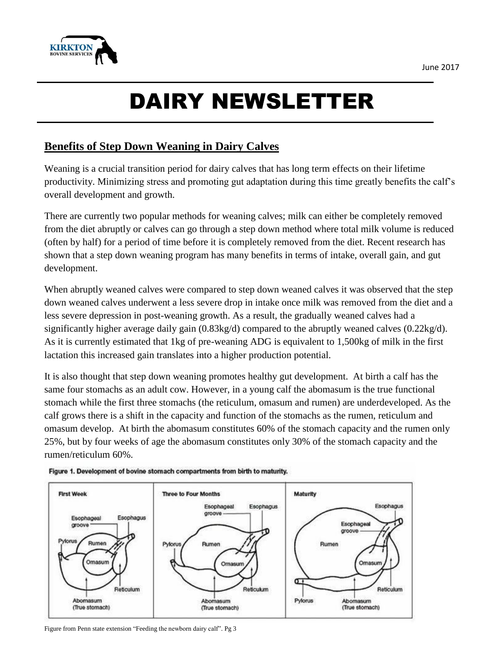

## DAIRY NEWSLETTER

## **Benefits of Step Down Weaning in Dairy Calves**

Weaning is a crucial transition period for dairy calves that has long term effects on their lifetime productivity. Minimizing stress and promoting gut adaptation during this time greatly benefits the calf's overall development and growth.

There are currently two popular methods for weaning calves; milk can either be completely removed from the diet abruptly or calves can go through a step down method where total milk volume is reduced (often by half) for a period of time before it is completely removed from the diet. Recent research has shown that a step down weaning program has many benefits in terms of intake, overall gain, and gut development.

When abruptly weaned calves were compared to step down weaned calves it was observed that the step down weaned calves underwent a less severe drop in intake once milk was removed from the diet and a less severe depression in post-weaning growth. As a result, the gradually weaned calves had a significantly higher average daily gain (0.83kg/d) compared to the abruptly weaned calves (0.22kg/d). As it is currently estimated that 1kg of pre-weaning ADG is equivalent to 1,500kg of milk in the first lactation this increased gain translates into a higher production potential.

It is also thought that step down weaning promotes healthy gut development. At birth a calf has the same four stomachs as an adult cow. However, in a young calf the abomasum is the true functional stomach while the first three stomachs (the reticulum, omasum and rumen) are underdeveloped. As the calf grows there is a shift in the capacity and function of the stomachs as the rumen, reticulum and omasum develop. At birth the abomasum constitutes 60% of the stomach capacity and the rumen only 25%, but by four weeks of age the abomasum constitutes only 30% of the stomach capacity and the rumen/reticulum 60%.





Figure from Penn state extension "Feeding the newborn dairy calf". Pg 3